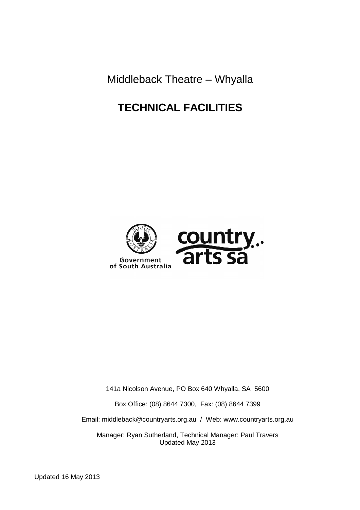Middleback Theatre – Whyalla

# **TECHNICAL FACILITIES**



141a Nicolson Avenue, PO Box 640 Whyalla, SA 5600

Box Office: (08) 8644 7300, Fax: (08) 8644 7399

Email: middleback@countryarts.org.au / Web: www.countryarts.org.au

Manager: Ryan Sutherland, Technical Manager: Paul Travers Updated May 2013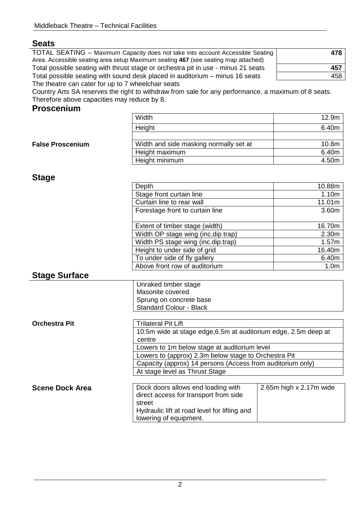## **Seats**

TOTAL SEATING – Maximum Capacity does not take into account Accessible Seating Area. Accessible seating area setup Maximum seating **467** (see seating map attached) Total possible seating with thrust stage or orchestra pit in use - minus 21 seats **457** Total possible seating with sound desk placed in auditorium  $-$  minus 16 seats The theatre can cater for up to 7 wheelchair seats

| 478 |
|-----|
| 457 |
| 458 |

Country Arts SA reserves the right to withdraw from sale for any performance, a maximum of 8 seats. Therefore above capacities may reduce by 8.

## **Proscenium**

|                         | Width                                  | 12.9m |
|-------------------------|----------------------------------------|-------|
|                         | Height                                 | 6.40m |
|                         |                                        |       |
| <b>False Proscenium</b> | Width and side masking normally set at | 10.8m |
|                         | Height maximum                         | 6.40m |
|                         | Height minimum                         | 4.50m |
|                         |                                        |       |

## **Stage**

| Depth                              | 10.88m           |
|------------------------------------|------------------|
| Stage front curtain line           | 1.10m            |
| Curtain line to rear wall          | 11.01m           |
| Forestage front to curtain line    | 3.60m            |
|                                    |                  |
| Extent of timber stage (width)     | 16.70m           |
| Width OP stage wing (inc.dip trap) | 2.30m            |
| Width PS stage wing (inc.dip.trap) | 1.57m            |
| Height to under side of grid       | 16.40m           |
| To under side of fly gallery       | 6.40m            |
| Above front row of auditorium      | 1.0 <sub>m</sub> |

## **Stage Surface**

| Unraked timber stage    |
|-------------------------|
| Masonite covered        |
| Sprung on concrete base |
| Standard Colour - Black |

| <b>Orchestra Pit</b>   | <b>Trilateral Pit Lift</b>                                      |                               |  |
|------------------------|-----------------------------------------------------------------|-------------------------------|--|
|                        | 10.5m wide at stage edge, 6.5m at auditorium edge, 2.5m deep at |                               |  |
|                        | centre                                                          |                               |  |
|                        | Lowers to 1m below stage at auditorium level                    |                               |  |
|                        | Lowers to (approx) 2.3m below stage to Orchestra Pit            |                               |  |
|                        | Capacity (approx) 14 persons (Access from auditorium only)      |                               |  |
|                        | At stage level as Thrust Stage                                  |                               |  |
|                        |                                                                 |                               |  |
| <b>Scene Dock Area</b> | Dock doors allows end loading with                              | 2.65 $m$ high x 2.17 $m$ wide |  |
|                        | direct access for transport from side                           |                               |  |
|                        | street                                                          |                               |  |
|                        | Hydraulic lift at road level for lifting and                    |                               |  |
|                        | lowering of equipment.                                          |                               |  |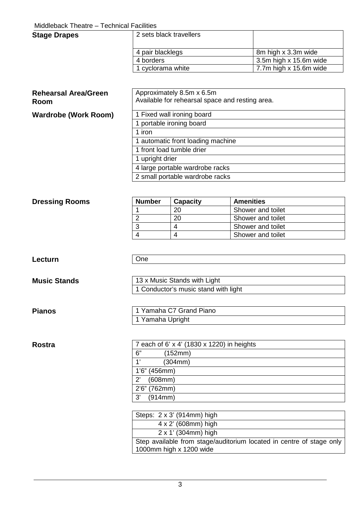### Middleback Theatre – Technical Facilities

| <b>Stage Drapes</b> | 2 sets black travellers |                        |
|---------------------|-------------------------|------------------------|
|                     | 4 pair blacklegs        | 8m high x 3.3m wide    |
|                     | 4 borders               | 3.5m high x 15.6m wide |
|                     | 1 cyclorama white       | 7.7m high x 15.6m wide |

## **Rehearsal Area/Green Room**

### **Wardrobe (Work Room)**

| Approximately 8.5m x 6.5m<br>Available for rehearsal space and resting area. |
|------------------------------------------------------------------------------|
| 1 Fixed wall ironing board                                                   |
| 1 portable ironing board                                                     |
| 1 iron                                                                       |
| 1 automatic front loading machine                                            |
| 1 front load tumble drier                                                    |
| 1 upright drier                                                              |
| 4 large portable wardrobe racks                                              |
| 2 small portable wardrobe racks                                              |

| <b>Dressing Rooms</b> | <b>Number</b> | Capacity | <b>Amenities</b>  |
|-----------------------|---------------|----------|-------------------|
|                       |               | 20       | Shower and toilet |
|                       |               | 20       | Shower and toilet |
|                       |               |          | Shower and toilet |
|                       |               |          | Shower and toilet |

### Lecturn **One**

**Music Stands 13 x Music Stands with Light** 1 Conductor's music stand with light

| 1 Yamaha C7 Grand Piano |  |
|-------------------------|--|
| 1 Yamaha Upright        |  |

**Pianos** 

| Rostra | 7 each of 6' x 4' (1830 x 1220) in heights |
|--------|--------------------------------------------|
|        | 6"<br>(152mm)                              |
|        | (304mm)<br>$\overline{A}$                  |
|        | $1'6''$ (456mm)                            |
|        | (608mm)<br>$2^{\prime}$                    |
|        | 2'6" (762mm)                               |
|        | (914mm)<br>3'                              |

| Steps: 2 x 3' (914mm) high                                                                      |
|-------------------------------------------------------------------------------------------------|
| $4 \times 2'$ (608mm) high                                                                      |
| $2 \times 1'$ (304mm) high                                                                      |
| Step available from stage/auditorium located in centre of stage only<br>1000mm high x 1200 wide |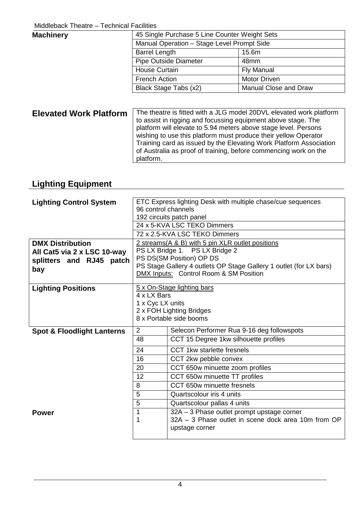| <b>Machinery</b> |                                            | 45 Single Purchase 5 Line Counter Weight Sets |  |
|------------------|--------------------------------------------|-----------------------------------------------|--|
|                  | Manual Operation - Stage Level Prompt Side |                                               |  |
|                  | <b>Barrel Length</b>                       | 15.6m                                         |  |
|                  | Pipe Outside Diameter                      | 48mm                                          |  |
|                  | <b>House Curtain</b>                       | <b>Fly Manual</b>                             |  |
|                  | <b>French Action</b>                       | <b>Motor Driven</b>                           |  |
|                  | Black Stage Tabs (x2)                      | Manual Close and Draw                         |  |

**Elevated Work Platform** The theatre is fitted with a JLG model 20DVL elevated work platform to assist in rigging and focussing equipment above stage. The platform will elevate to 5.94 meters above stage level. Persons wishing to use this platform must produce their yellow Operator Training card as issued by the Elevating Work Platform Association of Australia as proof of training, before commencing work on the platform.

# **Lighting Equipment**

| <b>Lighting Control System</b>        | ETC Express lighting Desk with multiple chase/cue sequences        |                                                     |  |  |  |  |  |
|---------------------------------------|--------------------------------------------------------------------|-----------------------------------------------------|--|--|--|--|--|
|                                       | 96 control channels                                                |                                                     |  |  |  |  |  |
|                                       | 192 circuits patch panel                                           |                                                     |  |  |  |  |  |
|                                       | 24 x 5-KVA LSC TEKO Dimmers                                        |                                                     |  |  |  |  |  |
|                                       | 72 x 2.5-KVA LSC TEKO Dimmers                                      |                                                     |  |  |  |  |  |
| <b>DMX Distribution</b>               | 2 streams(A & B) with 5 pin XLR outlet positions                   |                                                     |  |  |  |  |  |
| All Cat5 via 2 x LSC 10-way           | PS LX Bridge 1. PS LX Bridge 2                                     |                                                     |  |  |  |  |  |
| splitters and RJ45 patch              | PS DS(SM Position) OP DS                                           |                                                     |  |  |  |  |  |
| bay                                   | PS Stage Gallery 4 outlets OP Stage Gallery 1 outlet (for LX bars) |                                                     |  |  |  |  |  |
|                                       | DMX Inputs: Control Room & SM Position                             |                                                     |  |  |  |  |  |
| <b>Lighting Positions</b>             | 5 x On-Stage lighting bars                                         |                                                     |  |  |  |  |  |
|                                       | 4 x LX Bars                                                        |                                                     |  |  |  |  |  |
|                                       | 1 x Cyc LX units                                                   |                                                     |  |  |  |  |  |
|                                       | 2 x FOH Lighting Bridges                                           |                                                     |  |  |  |  |  |
|                                       | 8 x Portable side booms                                            |                                                     |  |  |  |  |  |
| <b>Spot &amp; Floodlight Lanterns</b> | 2<br>Selecon Performer Rua 9-16 deg followspots                    |                                                     |  |  |  |  |  |
|                                       | 48                                                                 | CCT 15 Degree 1kw silhouette profiles               |  |  |  |  |  |
|                                       | 24                                                                 | CCT 1kw starlette fresnels                          |  |  |  |  |  |
|                                       | 16                                                                 | CCT 2kw pebble convex                               |  |  |  |  |  |
|                                       | 20                                                                 | CCT 650w minuette zoom profiles                     |  |  |  |  |  |
|                                       | 12                                                                 | CCT 650w minuette TT profiles                       |  |  |  |  |  |
|                                       | CCT 650w minuette fresnels<br>8                                    |                                                     |  |  |  |  |  |
|                                       | 5                                                                  | Quartscolour iris 4 units                           |  |  |  |  |  |
|                                       | 5                                                                  | Quartscolour pallas 4 units                         |  |  |  |  |  |
| <b>Power</b>                          | 1                                                                  | 32A - 3 Phase outlet prompt upstage corner          |  |  |  |  |  |
|                                       | 1                                                                  | 32A – 3 Phase outlet in scene dock area 10m from OP |  |  |  |  |  |
|                                       |                                                                    | upstage corner                                      |  |  |  |  |  |
|                                       |                                                                    |                                                     |  |  |  |  |  |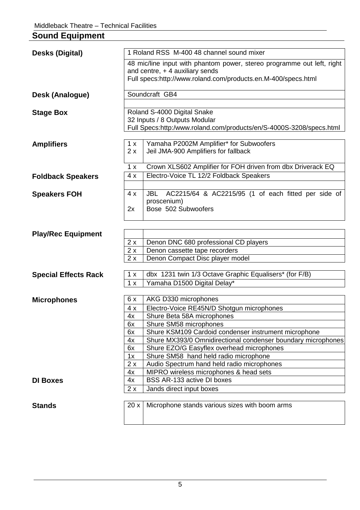## **Sound Equipment Desks (Digital)** 1 Roland RSS M-400 48 channel sound mixer 48 mic/line input with phantom power, stereo programme out left, right and centre, + 4 auxiliary sends Full specs:http://www.roland.com/products.en.M-400/specs.html **Desk (Analogue)** Soundcraft GB4 **Stage Box** | Roland S-4000 Digital Snake 32 Inputs / 8 Outputs Modular Full Specs:http:/www.roland.com/products/en/S-4000S-3208/specs.html **Amplifiers** 1 x 2 x Yamaha P2002M Amplifier\* for Subwoofers Jeil JMA-900 Amplifiers for fallback 1 x Crown XLS602 Amplifier for FOH driven from dbx Driverack EQ **Foldback Speakers**  $\sqrt{4 \times}$  Electro-Voice TL 12/2 Foldback Speakers **Speakers FOH** 4 x 2x JBL AC2215/64 & AC2215/95 (1 of each fitted per side of proscenium) Bose 502 Subwoofers **Play/Rec Equipment**  2 x Denon DNC 680 professional CD players 2 x Denon cassette tape recorders 2 x Denon Compact Disc player model **Special Effects Rack** 1 x dbx 1231 twin 1/3 Octave Graphic Equalisers<sup>\*</sup> (for F/B) 1 x | Yamaha D1500 Digital Delay\* **Microphones** | 6 x | AKG D330 microphones 4 x | Electro-Voice RE45N/D Shotgun microphones 4x | Shure Beta 58A microphones 6x | Shure SM58 microphones 6x Shure KSM109 Cardoid condenser instrument microphone 4x Shure MX393/0 Omnidirectional condenser boundary microphones 6x Shure EZO/G Easyflex overhead microphones 1x Shure SM58 hand held radio microphone 2 x Audio Spectrum hand held radio microphones 4x MIPRO wireless microphones & head sets **DI Boxes**  $\vert 4x \vert$  BSS AR-133 active DI boxes 2 x Jands direct input boxes **Stands 20 x** | Microphone stands various sizes with boom arms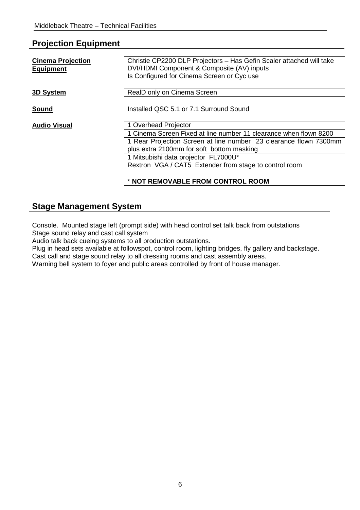## **Projection Equipment**

| <b>Cinema Projection</b><br><b>Equipment</b> | Christie CP2200 DLP Projectors - Has Gefin Scaler attached will take<br>DVI/HDMI Component & Composite (AV) inputs<br>Is Configured for Cinema Screen or Cyc use                    |  |  |  |  |  |
|----------------------------------------------|-------------------------------------------------------------------------------------------------------------------------------------------------------------------------------------|--|--|--|--|--|
| 3D System                                    | RealD only on Cinema Screen                                                                                                                                                         |  |  |  |  |  |
| <b>Sound</b>                                 | Installed QSC 5.1 or 7.1 Surround Sound                                                                                                                                             |  |  |  |  |  |
| <b>Audio Visual</b>                          | 1 Overhead Projector                                                                                                                                                                |  |  |  |  |  |
|                                              | 1 Cinema Screen Fixed at line number 11 clearance when flown 8200<br>1 Rear Projection Screen at line number 23 clearance flown 7300mm<br>plus extra 2100mm for soft bottom masking |  |  |  |  |  |
|                                              | 1 Mitsubishi data projector FL7000U*                                                                                                                                                |  |  |  |  |  |
|                                              | Rextron VGA / CAT5 Extender from stage to control room                                                                                                                              |  |  |  |  |  |
|                                              | * NOT REMOVABLE FROM CONTROL ROOM                                                                                                                                                   |  |  |  |  |  |

## **Stage Management System**

Console. Mounted stage left (prompt side) with head control set talk back from outstations Stage sound relay and cast call system

Audio talk back cueing systems to all production outstations.

Plug in head sets available at followspot, control room, lighting bridges, fly gallery and backstage. Cast call and stage sound relay to all dressing rooms and cast assembly areas.

Warning bell system to foyer and public areas controlled by front of house manager.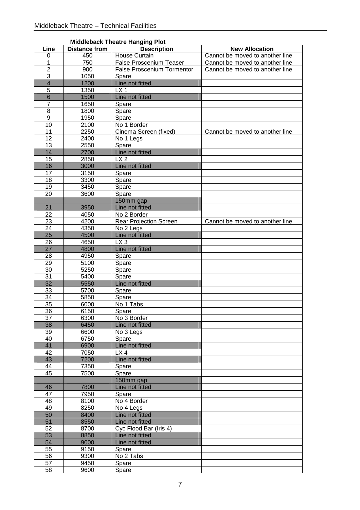|                           |                      | <b>MIUUICUAL LIICALE HAILUILU FIUL</b> |                                 |
|---------------------------|----------------------|----------------------------------------|---------------------------------|
| Line                      | <b>Distance from</b> | <b>Description</b>                     | <b>New Allocation</b>           |
| 0                         | 450                  | <b>House Curtain</b>                   | Cannot be moved to another line |
| 1                         | 750                  | <b>False Proscenium Teaser</b>         | Cannot be moved to another line |
| $\overline{2}$            | 900                  | <b>False Proscenium Tormentor</b>      | Cannot be moved to another line |
| $\ensuremath{\mathsf{3}}$ | 1050                 | Spare                                  |                                 |
| $\overline{4}$            | 1200                 | Line not fitted                        |                                 |
| $\overline{5}$            | 1350                 | LX <sub>1</sub>                        |                                 |
| $\overline{6}$            | 1500                 | Line not fitted                        |                                 |
| 7                         | 1650                 | Spare                                  |                                 |
| 8                         | 1800                 | Spare                                  |                                 |
| $\overline{9}$            | 1950                 | Spare                                  |                                 |
| 10                        | 2100                 | No 1 Border                            |                                 |
| 11                        | 2250                 | Cinema Screen (fixed)                  | Cannot be moved to another line |
| 12                        | 2400                 | No 1 Legs                              |                                 |
| 13                        | 2550                 | Spare                                  |                                 |
| 14                        |                      |                                        |                                 |
|                           | 2700                 | Line not fitted                        |                                 |
| 15                        | 2850                 | LX <sub>2</sub>                        |                                 |
| 16                        | 3000                 | Line not fitted                        |                                 |
| 17                        | 3150                 | Spare                                  |                                 |
| 18                        | 3300                 | Spare                                  |                                 |
| 19                        | 3450                 | Spare                                  |                                 |
| 20                        | 3600                 | Spare                                  |                                 |
|                           |                      | 150mm gap                              |                                 |
| 21                        | 3950                 | Line not fitted                        |                                 |
| 22                        | 4050                 | No 2 Border                            |                                 |
| 23                        | 4200                 | Rear Projection Screen                 | Cannot be moved to another line |
| 24                        | 4350                 | No 2 Legs                              |                                 |
| 25                        | 4500                 | Line not fitted                        |                                 |
| 26                        | 4650                 | LX <sub>3</sub>                        |                                 |
| $\overline{27}$           | 4800                 | Line not fitted                        |                                 |
| 28                        | 4950                 | Spare                                  |                                 |
| $\overline{29}$           |                      |                                        |                                 |
|                           | 5100                 | Spare                                  |                                 |
| 30                        | 5250                 | Spare                                  |                                 |
| 31                        | 5400                 | Spare                                  |                                 |
| 32                        | 5550                 | Line not fitted                        |                                 |
| 33                        | 5700                 | Spare                                  |                                 |
| 34                        | 5850                 | Spare                                  |                                 |
| 35                        | 6000                 | No 1 Tabs                              |                                 |
| 36                        | 6150                 | Spare                                  |                                 |
| 37                        | 6300                 | No 3 Border                            |                                 |
| 38                        | 6450                 | Line not fitted                        |                                 |
| 39                        | 6600                 | No 3 Legs                              |                                 |
| 40                        | 6750                 | Spare                                  |                                 |
| 41                        | 6900                 | Line not fitted                        |                                 |
| 42                        | 7050                 | LX4                                    |                                 |
| 43                        | 7200                 | Line not fitted                        |                                 |
| 44                        | 7350                 | Spare                                  |                                 |
| 45                        | 7500                 | Spare                                  |                                 |
|                           |                      | 150mm gap                              |                                 |
| 46                        | 7800                 | Line not fitted                        |                                 |
| 47                        | 7950                 | Spare                                  |                                 |
| 48                        | 8100                 | No 4 Border                            |                                 |
| 49                        | 8250                 | No 4 Legs                              |                                 |
|                           |                      |                                        |                                 |
| 50                        | 8400                 | Line not fitted                        |                                 |
| 51                        | 8550                 | Line not fitted                        |                                 |
| 52                        | 8700                 | Cyc Flood Bar (Iris 4)                 |                                 |
| 53                        | 8850                 | Line not fitted                        |                                 |
| 54                        | 9000                 | Line not fitted                        |                                 |
| 55                        | 9150                 | Spare                                  |                                 |
| 56                        | 9300                 | No 2 Tabs                              |                                 |
| 57                        | 9450                 | Spare                                  |                                 |
| 58                        | 9600                 | Spare                                  |                                 |

## **Middleback Theatre Hanging Plot**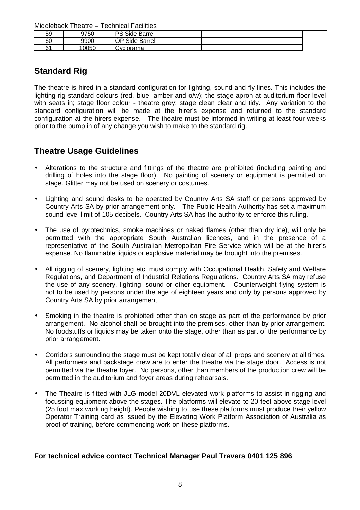Middleback Theatre – Technical Facilities

| 59 | 9750  | PS Side Barrel |  |
|----|-------|----------------|--|
| 60 | 9900  | OP Side Barrel |  |
| ົ  | 10050 | <b>Corama</b>  |  |

## **Standard Rig**

The theatre is hired in a standard configuration for lighting, sound and fly lines. This includes the lighting rig standard colours (red, blue, amber and o/w); the stage apron at auditorium floor level with seats in; stage floor colour - theatre grey; stage clean clear and tidy. Any variation to the standard configuration will be made at the hirer's expense and returned to the standard configuration at the hirers expense. The theatre must be informed in writing at least four weeks prior to the bump in of any change you wish to make to the standard rig.

## **Theatre Usage Guidelines**

- Alterations to the structure and fittings of the theatre are prohibited (including painting and drilling of holes into the stage floor). No painting of scenery or equipment is permitted on stage. Glitter may not be used on scenery or costumes.
- Lighting and sound desks to be operated by Country Arts SA staff or persons approved by Country Arts SA by prior arrangement only. The Public Health Authority has set a maximum sound level limit of 105 decibels. Country Arts SA has the authority to enforce this ruling.
- The use of pyrotechnics, smoke machines or naked flames (other than dry ice), will only be permitted with the appropriate South Australian licences, and in the presence of a representative of the South Australian Metropolitan Fire Service which will be at the hirer's expense. No flammable liquids or explosive material may be brought into the premises.
- All rigging of scenery, lighting etc. must comply with Occupational Health, Safety and Welfare Regulations, and Department of Industrial Relations Regulations. Country Arts SA may refuse the use of any scenery, lighting, sound or other equipment. Counterweight flying system is not to be used by persons under the age of eighteen years and only by persons approved by Country Arts SA by prior arrangement.
- Smoking in the theatre is prohibited other than on stage as part of the performance by prior arrangement. No alcohol shall be brought into the premises, other than by prior arrangement. No foodstuffs or liquids may be taken onto the stage, other than as part of the performance by prior arrangement.
- Corridors surrounding the stage must be kept totally clear of all props and scenery at all times. All performers and backstage crew are to enter the theatre via the stage door. Access is not permitted via the theatre foyer. No persons, other than members of the production crew will be permitted in the auditorium and foyer areas during rehearsals.
- The Theatre is fitted with JLG model 20DVL elevated work platforms to assist in rigging and focussing equipment above the stages. The platforms will elevate to 20 feet above stage level (25 foot max working height). People wishing to use these platforms must produce their yellow Operator Training card as issued by the Elevating Work Platform Association of Australia as proof of training, before commencing work on these platforms.

## **For technical advice contact Technical Manager Paul Travers 0401 125 896**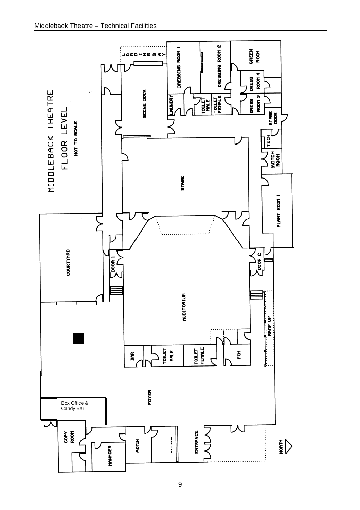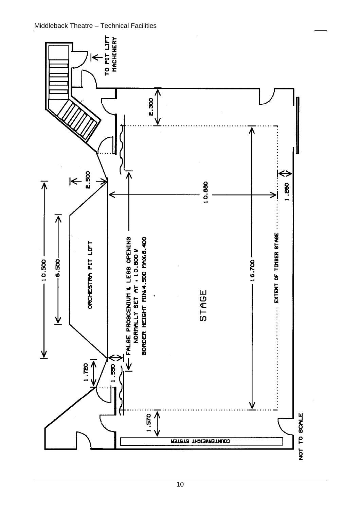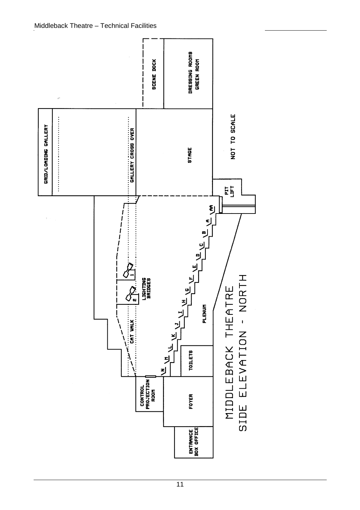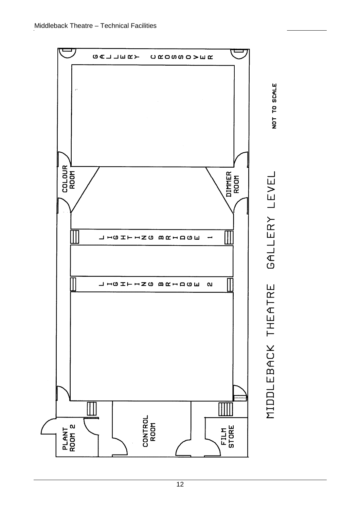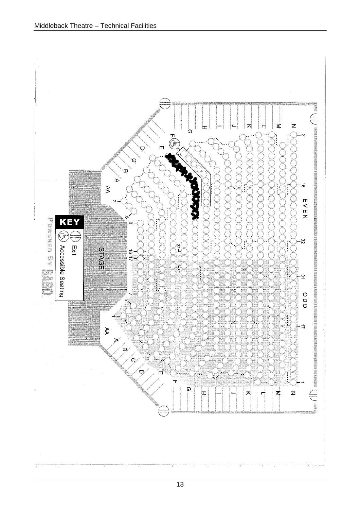

13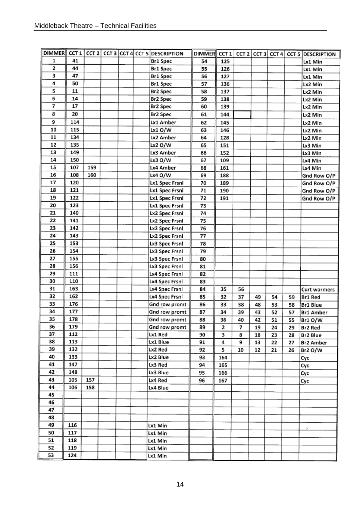|    |            |     |  | DIMMER CCT 1 CCT 2 CCT 3 CCT 4 CCT 5 DESCRIPTION | DIMMER CCT 1 CCT 2 CCT 3 CCT 4 |     |    |    |    |    | <b>CCT 5 DESCRIPTION</b> |
|----|------------|-----|--|--------------------------------------------------|--------------------------------|-----|----|----|----|----|--------------------------|
| 1  | 41         |     |  | Br1 Spec                                         | 54                             | 125 |    |    |    |    | Lx1 Min                  |
| 2  | 44         |     |  | Br1 Spec                                         | 55                             | 126 |    |    |    |    | Lx1 Min                  |
| 3  | 47         |     |  | Br1 Spec                                         | 56                             | 127 |    |    |    |    | Lx1 Min                  |
| 4  | 50         |     |  | Br1 Spec                                         | 57                             | 136 |    |    |    |    | Lx2 Min                  |
| 5  | ${\bf 11}$ |     |  | Br2 Spec                                         | 58                             | 137 |    |    |    |    | Lx2 Min                  |
| 6  | 14         |     |  | Br2 Spec                                         | 59                             | 138 |    |    |    |    | Lx2 Min                  |
| 7  | 17         |     |  | Br2 Spec                                         | 60                             | 139 |    |    |    |    | Lx2 Min                  |
| 8  | 20         |     |  | Br2 Spec                                         | 61                             | 144 |    |    |    |    | Lx2 Min                  |
| 9  | 114        |     |  | Lx1 Amber                                        | 62                             | 145 |    |    |    |    | Lx2 Min                  |
| 10 | 115        |     |  | $Lx1$ O/W                                        | 63                             | 146 |    |    |    |    | Lx2 Min                  |
| 11 | 134        |     |  | Lx2 Amber                                        | 64                             | 128 |    |    |    |    | Lx2 Min                  |
| 12 | 135        |     |  | Lx2 O/W                                          | 65                             | 151 |    |    |    |    | Lx3 Min                  |
| 13 | 149        |     |  | Lx3 Amber                                        | 66                             | 152 |    |    |    |    | Lx3 Min                  |
| 14 | 150        |     |  | Lx3 O/W                                          | 67                             | 109 |    |    |    |    | Lx4 Min                  |
| 15 | 107        | 159 |  | Lx4 Amber                                        | 68                             | 161 |    |    |    |    | Lx4 Min                  |
| 16 | 108        | 160 |  | Lx4 O/W                                          | 69                             | 188 |    |    |    |    | Gnd Row O/P              |
| 17 | 120        |     |  | Lx1 Spec Frsnl                                   | 70                             | 189 |    |    |    |    | Gnd Row O/P              |
| 18 | 121        |     |  | Lx1 Spec Frsnl                                   | 71                             | 190 |    |    |    |    | Gnd Row O/P              |
| 19 | 122        |     |  | Lx1 Spec Frsnl                                   | 72                             | 191 |    |    |    |    | Gnd Row O/P              |
| 20 | 123        |     |  | Lx1 Spec Frsnl                                   | 73                             |     |    |    |    |    |                          |
| 21 | 140        |     |  | Lx2 Spec Frsnl                                   | 74                             |     |    |    |    |    |                          |
| 22 | 141        |     |  | Lx2 Spec Frsnl                                   | 75                             |     |    |    |    |    |                          |
| 23 | 142        |     |  | Lx2 Spec Frsnl                                   | 76                             |     |    |    |    |    |                          |
| 24 | 143        |     |  | Lx2 Spec Frsnl                                   | 77                             |     |    |    |    |    |                          |
| 25 | 153        |     |  | Lx3 Spec Frsnl                                   | 78                             |     |    |    |    |    |                          |
| 26 | 154        |     |  | Lx3 Spec Frsnl                                   | 79                             |     |    |    |    |    |                          |
| 27 | 155        |     |  | Lx3 Spec Frsnl                                   | 80                             |     |    |    |    |    |                          |
| 28 | 156        |     |  | Lx3 Spec Frsnl                                   | 81                             |     |    |    |    |    |                          |
| 29 | 111        |     |  | Lx4 Spec Frsnl                                   | 82                             |     |    |    |    |    |                          |
| 30 | 110        |     |  | Lx4 Spec Frsnl                                   | 83                             |     |    |    |    |    |                          |
| 31 | 163        |     |  | Lx4 Spec Frsnl                                   | 84                             | 35  | 56 |    |    |    | <b>Curt warmers</b>      |
| 32 | 162        |     |  | Lx4 Spec Frsnl                                   | 85                             | 32  | 37 | 49 | 54 | 59 | Br1 Red                  |
| 33 | 176        |     |  | Gnd row promt                                    | 86                             | 33  | 38 | 48 | 53 | 58 | Br1 Blue                 |
| 34 | 177        |     |  | Gnd row promt                                    | 87                             | 34  | 39 | 43 | 52 | 57 | <b>Br1 Amber</b>         |
| 35 | 178        |     |  | Gnd row promt                                    | 88                             | 36  | 40 | 42 | 51 | 55 | Br1 O/W                  |
| 36 | 179        |     |  | Gnd row promt                                    | 89                             | 2   | 7  | 19 | 24 | 29 | Br2 Red                  |
| 37 | 112        |     |  | Lx1 Red                                          | 90                             | 3   | 8  | 18 | 23 | 28 | Br2 Blue                 |
| 38 | 113        |     |  | Lx1 Blue                                         | 91                             | 4   | 9  | 13 | 22 | 27 | <b>Br2 Amber</b>         |
| 39 | 132        |     |  | Lx2 Red                                          | 92                             | 5   | 10 | 12 | 21 | 26 | Br2O/W                   |
| 40 | 133        |     |  | Lx2 Blue                                         | 93                             | 164 |    |    |    |    | Cyc                      |
| 41 | 147        |     |  | Lx3 Red                                          | 94                             | 165 |    |    |    |    | Сус                      |
| 42 | 148        |     |  | Lx3 Blue                                         | 95                             | 166 |    |    |    |    | Сус                      |
| 43 | 105        | 157 |  | Lx4 Red                                          | 96                             | 167 |    |    |    |    | Cyc                      |
| 44 | 106        | 158 |  | Lx4 Blue                                         |                                |     |    |    |    |    |                          |
| 45 |            |     |  |                                                  |                                |     |    |    |    |    |                          |
| 46 |            |     |  |                                                  |                                |     |    |    |    |    |                          |
| 47 |            |     |  |                                                  |                                |     |    |    |    |    |                          |
| 48 |            |     |  |                                                  |                                |     |    |    |    |    |                          |
| 49 | 116        |     |  | Lx1 Min                                          |                                |     |    |    |    |    |                          |
| 50 | 117        |     |  | Lx1 Min                                          |                                |     |    |    |    |    | ¥                        |
| 51 | 118        |     |  | Lx1 Min                                          |                                |     |    |    |    |    |                          |
| 52 | 119        |     |  | Lx1 Min                                          |                                |     |    |    |    |    |                          |
| 53 | 124        |     |  | Lx1 Min                                          |                                |     |    |    |    |    |                          |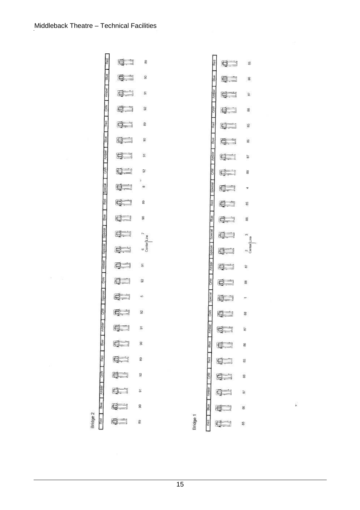

¥